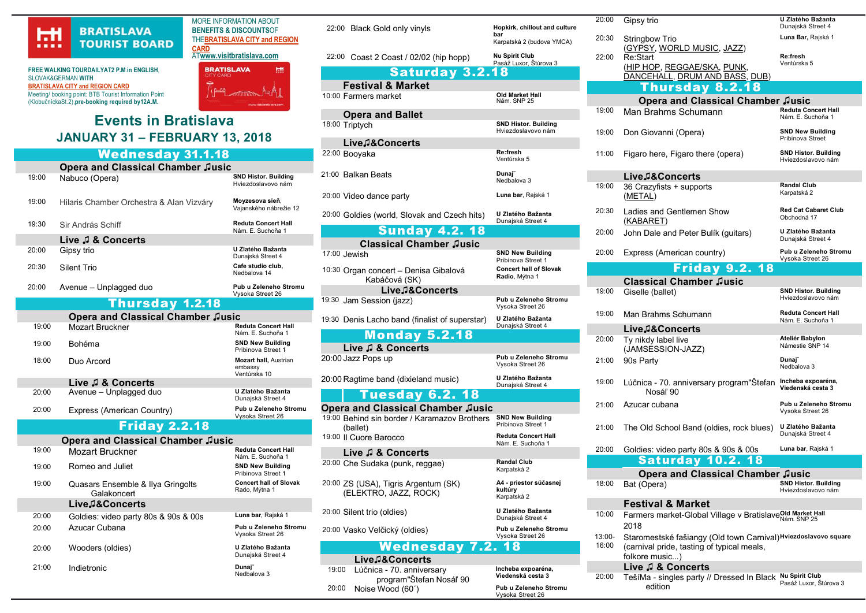

**FREE WALKING TOURDAILYAT2 P.M. In ENGLISH** SLOVAK&GERMAN WITH BRATISLAVA CITY and REGION CARD Meeting/ booking point: BTB Tourist Information Point (KlobučníckaSt.2),pre-booking required by12A.M.

# Events in Bratislava JANUARY 31 – FEBRUARY 13, 2018

#### Wednesday 31.1.18 Opera and Classical Chamber Jusic<br>Nabuco (Opera) 19:00 Nabuco (Opera) Hviezdoslavovo nám 19:00 Hilaris Chamber Orchestra & Alan Vizváry Moyzesova sieň, Vajanského nábrežie 12 19:30 Sir András Schiff **Reduta Concert Hall**

#### Nám. E. Suchoňa 1 Live ♫ & Concerts 20:00 Gipsy trio U Zlatého Bažanta Dunajská Street 4 20:30 Silent Trio Cafe studio club, Nedbalova 14 20:00 Avenue – Unplagged duo<br>
Pub u Zeleneho Stromu

### Thursday 1.2.18

|                                          | .                          | -----                                                   |  |  |
|------------------------------------------|----------------------------|---------------------------------------------------------|--|--|
| <b>Opera and Classical Chamber Jusic</b> |                            |                                                         |  |  |
| 19:00                                    | <b>Mozart Bruckner</b>     | <b>Reduta Concert Hall</b><br>Nám. E. Suchoňa 1         |  |  |
| 19:00                                    | <b>Bohéma</b>              | <b>SND New Building</b><br>Pribinova Street 1           |  |  |
| 18:00                                    | Duo Arcord                 | <b>Mozart hall, Austrian</b><br>embassy<br>Ventúrska 10 |  |  |
|                                          | Live J & Concerts          |                                                         |  |  |
| 20:00                                    | Avenue - Unplagged duo     | U Zlatého Bažanta<br>Dunajská Street 4                  |  |  |
| 20:00                                    | Express (American Country) | Pub u Zeleneho Stromu<br>Vysoka Street 26               |  |  |
| <b>Friday 2.2.18</b>                     |                            |                                                         |  |  |
| <b>Opera and Classical Chamber Jusic</b> |                            |                                                         |  |  |
| 10∙00                                    | $M$ azart Drugknar         | <b>Reduta Concert Hall</b>                              |  |  |

| 1 <i>0.</i> 00 | MOZAIL DIUCKHEI                                  | Nám. E. Suchoňa 1                              |
|----------------|--------------------------------------------------|------------------------------------------------|
| 19:00          | Romeo and Juliet                                 | <b>SND New Building</b><br>Pribinova Street 1  |
| 19:00          | Quasars Ensemble & Ilya Gringolts<br>Galakoncert | <b>Concert hall of Slovak</b><br>Rado, Mýtna 1 |
|                | Live.2&Concerts                                  |                                                |
| 20:00          | Goldies: video party 80s & 90s & 00s             | Luna bar, Rajská 1                             |
| 20:00          | Azucar Cubana                                    | Pub u Zeleneho Stromu<br>Vysoka Street 26      |
| 20:00          | Wooders (oldies)                                 | U Zlatého Bažanta<br>Dunajská Street 4         |
| 21:00          | Indietronic                                      | Dunaj <sup>-</sup><br>Nedbalova 3              |
|                |                                                  |                                                |

MORE INFORMATION ABOUT BENEFITS & DISCOUNTSOF THEBRATISLAVA CITY and REGION **CARD** ATwww.visitbratislava.com

> **BRATISLAVA** НH

> > Vysoka Street 26

22:00 Black Gold only vinyls Hopkirk, chillout and culture 22:00 Coast 2 Coast / 02/02 (hip hopp) Nu Spirit Club

bar

Karpatská 2 (budova YMCA)

Pasáž Luxor, Štúrova 3

Old Market Hall<br>Nám. SNP 25

Hviezdoslavovo nám

Ventúrska 5

Nedbalova 3

**SND New Building** Pribinova Street 1

Vysoka Street 26

Vysoka Street 26

Dunajská Street 4

Nám. E. Suchoňa 1

A4 - priestor súčasnej

Dunajská Street 4

Vysoka Street 26

Incheba expoaréna, Viedenská cesta 3

Vysoka Street 26

Karpatská 2

kultúry Karpatská 2

Concert hall of Slovak Radio, Mýtna 1

Saturday 3.2.18 Festival & Market 10:00 Farmers market

Opera and Ballet 18:00 Triptych SND Histor. Building

Live♫&Concerts 22:00 Booyaka Re:fresh 21:00 Balkan Beats Dunaj

20:00 Video dance party **Luna bar**, Rajská 1

20:00 Goldies (world, Slovak and Czech hits) U Zlatého Bažanta Dunajská Street 4

Sunday 4.2. 18

Classical Chamber Jusic<br>17:00 Jewish

10:30 Organ concert – Denisa Gibalová Kabáčová (SK) Live♫&Concerts

19:30 Jam Session (jazz) Pub u Zeleneho Stromu

19:30 Denis Lacho band (finalist of superstar) U Zlatého Bažanta Dunajská Street 4

#### Monday 5.2.18 Live ♫ & Concerts

20:00 Jazz Pops up Pub u Zeleneho Stromu

20:00 Ragtime band (dixieland music) U Zlatého Bažanta

### Tuesday 6.2. 18

#### Opera and Classical Chamber ♫usic

19:00 Behind sin border / Karamazov Brothers (ballet) SND New Building Pribinova Street 1 19:00 | Cuore Barocco Reduta Concert Hall

Live ♫ & Concerts

20:00 Che Sudaka (punk, reggae) Randal Club 20:00 ZS (USA), Tigris Argentum (SK)

(ELEKTRO, JAZZ, ROCK)

20:00 Silent trio (oldies) U Zlatého Bažanta

20:00 Vasko Velčický (oldies) Pub u Zeleneho Stromu

## Wednesday 7.2. 18

Live♫&Concerts 19:00 Lúčnica - 70. anniversary program"Štefan Nosáľ 90 20:00 Noise Wood (60´) Pub u Zeleneho Stromu

|                                                                            | 20:00              | Gipsy trio                                                                                                                      | U Zlatého Bažanta<br>Dunajská Street 4            |
|----------------------------------------------------------------------------|--------------------|---------------------------------------------------------------------------------------------------------------------------------|---------------------------------------------------|
|                                                                            | 20:30              | <b>Stringbow Trio</b>                                                                                                           | Luna Bar, Rajská 1                                |
|                                                                            | 22:00              | (GYPSY, WORLD MUSIC, JAZZ)<br>Re:Start                                                                                          | Re:fresh<br>Ventúrska 5                           |
|                                                                            |                    | (HIP HOP, REGGAE/SKA, PUNK,<br>DANCEHALL, DRUM AND BASS, DUB)                                                                   |                                                   |
|                                                                            |                    | Thursday 8.2.18                                                                                                                 |                                                   |
|                                                                            |                    | <b>Opera and Classical Chamber Jusic</b>                                                                                        |                                                   |
|                                                                            | 19:00              | Man Brahms Schumann                                                                                                             | <b>Reduta Concert Hall</b><br>Nám. E. Suchoňa 1   |
|                                                                            | 19:00              | Don Giovanni (Opera)                                                                                                            | <b>SND New Building</b><br>Pribinova Street       |
|                                                                            | 11:00              | Figaro here, Figaro there (opera)                                                                                               | <b>SND Histor. Building</b><br>Hviezdoslavovo nám |
|                                                                            |                    | Live.1&Concerts                                                                                                                 |                                                   |
|                                                                            | 19:00              | 36 Crazyfists + supports                                                                                                        | <b>Randal Club</b>                                |
|                                                                            |                    | (METAL)                                                                                                                         | Karpatská 2                                       |
|                                                                            | 20:30              | Ladies and Gentlemen Show<br>(KABARET)                                                                                          | <b>Red Cat Cabaret Club</b><br>Obchodná 17        |
|                                                                            | 20:00              | John Dale and Peter Bulík (guitars)                                                                                             | U Zlatého Bažanta<br>Dunajská Street 4            |
|                                                                            | 20:00              | Express (American country)                                                                                                      | Pub u Zeleneho Stromu<br>Vysoka Street 26         |
|                                                                            |                    | <b>Friday 9.2. 18</b>                                                                                                           |                                                   |
|                                                                            |                    | <b>Classical Chamber Jusic</b>                                                                                                  |                                                   |
|                                                                            | 19:00              | Giselle (ballet)                                                                                                                | <b>SND Histor. Building</b><br>Hviezdoslavovo nám |
|                                                                            | 19:00              | Man Brahms Schumann                                                                                                             | <b>Reduta Concert Hall</b><br>Nám. E. Suchoňa 1   |
|                                                                            |                    | Live.ଯ&Concerts                                                                                                                 |                                                   |
|                                                                            | 20:00              | Ty nikdy label live<br>(JAMSESSION-JAZZ)                                                                                        | Ateliér Babylon<br>Námestie SNP 14                |
|                                                                            | 21:00              | 90s Party                                                                                                                       | Dunaj~<br>Nedbalova 3                             |
|                                                                            | 19:00              | Lúčnica - 70. anniversary program "Štefan Incheba expoaréna,<br>Nosáľ 90                                                        | Viedenská cesta 3                                 |
|                                                                            | 21:00              | Azucar cubana                                                                                                                   | Pub u Zeleneho Stromu<br>Vysoka Street 26         |
|                                                                            | 21:00              | The Old School Band (oldies, rock blues)                                                                                        | U Zlatého Bažanta<br>Dunajská Street 4            |
|                                                                            | 20:00              | Goldies: video party 80s & 90s & 00s                                                                                            | Luna bar, Rajská 1                                |
|                                                                            |                    | <b>Saturday 10.2. 18</b>                                                                                                        |                                                   |
|                                                                            |                    | Opera and Classical Chamber Jusic                                                                                               |                                                   |
|                                                                            | 18:00              | Bat (Opera)                                                                                                                     | <b>SND Histor. Building</b><br>Hviezdoslavovo nám |
|                                                                            |                    | <b>Festival &amp; Market</b>                                                                                                    |                                                   |
| Farmers market-Global Village v BratislaveOld Market Hall<br>10:00<br>2018 |                    |                                                                                                                                 |                                                   |
|                                                                            |                    |                                                                                                                                 |                                                   |
|                                                                            | $13:00 -$<br>16:00 | Staromestské fašiangy (Old town Carnival) Hviezdoslavovo square<br>(carnival pride, tasting of typical meals,<br>folkore music) |                                                   |

#### Live ♫ & Concerts

20:00 TešíMa - singles party // Dressed In Black Nu Spirit Club edition Pasáž Luxor, Štúrova 3